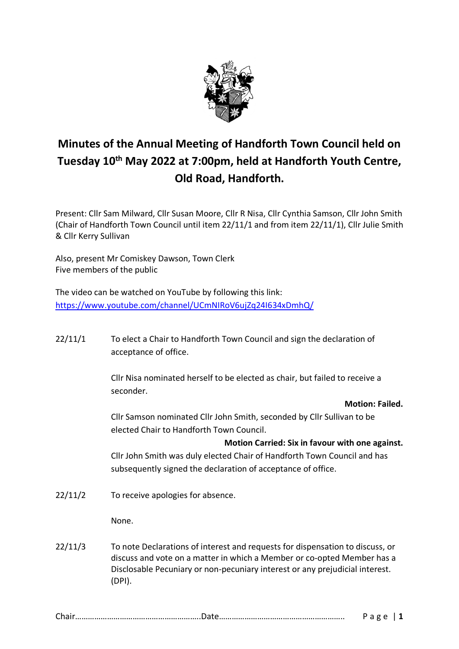

# **Minutes of the Annual Meeting of Handforth Town Council held on Tuesday 10th May 2022 at 7:00pm, held at Handforth Youth Centre, Old Road, Handforth.**

Present: Cllr Sam Milward, Cllr Susan Moore, Cllr R Nisa, Cllr Cynthia Samson, Cllr John Smith (Chair of Handforth Town Council until item 22/11/1 and from item 22/11/1), Cllr Julie Smith & Cllr Kerry Sullivan

Also, present Mr Comiskey Dawson, Town Clerk Five members of the public

The video can be watched on YouTube by following this link: <https://www.youtube.com/channel/UCmNIRoV6ujZq24I634xDmhQ/>

22/11/1 To elect a Chair to Handforth Town Council and sign the declaration of acceptance of office.

> Cllr Nisa nominated herself to be elected as chair, but failed to receive a seconder.

> > **Motion: Failed.**

Cllr Samson nominated Cllr John Smith, seconded by Cllr Sullivan to be elected Chair to Handforth Town Council.

**Motion Carried: Six in favour with one against.**

Cllr John Smith was duly elected Chair of Handforth Town Council and has subsequently signed the declaration of acceptance of office.

22/11/2 To receive apologies for absence.

None.

22/11/3 To note Declarations of interest and requests for dispensation to discuss, or discuss and vote on a matter in which a Member or co-opted Member has a Disclosable Pecuniary or non-pecuniary interest or any prejudicial interest. (DPI).

| U IUII ………………………………………………………………∪U لاب المستورة المستورة المستورة المستورة المستورة المستورة المستورة |  |
|------------------------------------------------------------------------------------------------------|--|
|------------------------------------------------------------------------------------------------------|--|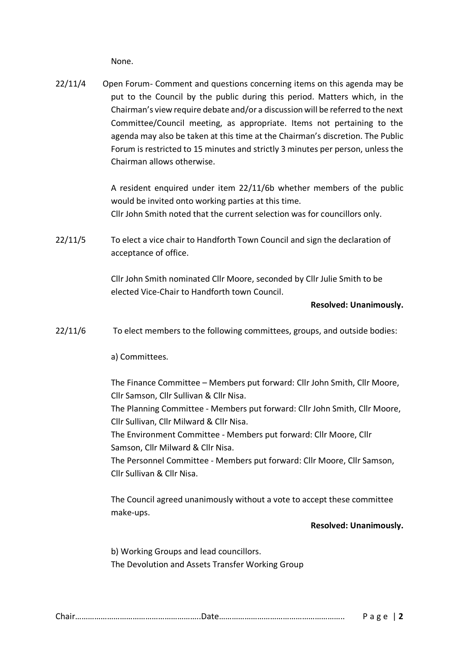None.

22/11/4 Open Forum- Comment and questions concerning items on this agenda may be put to the Council by the public during this period. Matters which, in the Chairman's view require debate and/or a discussion will be referred to the next Committee/Council meeting, as appropriate. Items not pertaining to the agenda may also be taken at this time at the Chairman's discretion. The Public Forum is restricted to 15 minutes and strictly 3 minutes per person, unless the Chairman allows otherwise.

> A resident enquired under item 22/11/6b whether members of the public would be invited onto working parties at this time. Cllr John Smith noted that the current selection was for councillors only.

22/11/5 To elect a vice chair to Handforth Town Council and sign the declaration of acceptance of office.

> Cllr John Smith nominated Cllr Moore, seconded by Cllr Julie Smith to be elected Vice-Chair to Handforth town Council.

## **Resolved: Unanimously.**

22/11/6 To elect members to the following committees, groups, and outside bodies:

a) Committees.

The Finance Committee – Members put forward: Cllr John Smith, Cllr Moore, Cllr Samson, Cllr Sullivan & Cllr Nisa.

The Planning Committee - Members put forward: Cllr John Smith, Cllr Moore, Cllr Sullivan, Cllr Milward & Cllr Nisa.

The Environment Committee - Members put forward: Cllr Moore, Cllr Samson, Cllr Milward & Cllr Nisa.

The Personnel Committee - Members put forward: Cllr Moore, Cllr Samson, Cllr Sullivan & Cllr Nisa.

The Council agreed unanimously without a vote to accept these committee make-ups.

#### **Resolved: Unanimously.**

b) Working Groups and lead councillors. The Devolution and Assets Transfer Working Group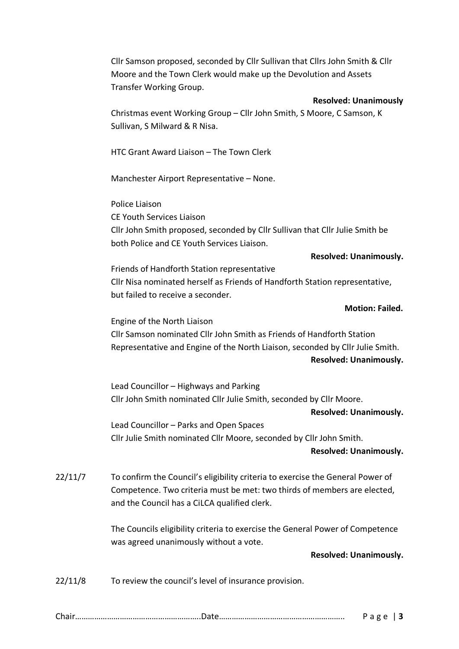Cllr Samson proposed, seconded by Cllr Sullivan that Cllrs John Smith & Cllr Moore and the Town Clerk would make up the Devolution and Assets Transfer Working Group.

## **Resolved: Unanimously**

Christmas event Working Group – Cllr John Smith, S Moore, C Samson, K Sullivan, S Milward & R Nisa.

HTC Grant Award Liaison – The Town Clerk

Manchester Airport Representative – None.

Police Liaison CE Youth Services Liaison Cllr John Smith proposed, seconded by Cllr Sullivan that Cllr Julie Smith be both Police and CE Youth Services Liaison.

# **Resolved: Unanimously.**

Friends of Handforth Station representative Cllr Nisa nominated herself as Friends of Handforth Station representative, but failed to receive a seconder.

# **Motion: Failed.**

Engine of the North Liaison Cllr Samson nominated Cllr John Smith as Friends of Handforth Station Representative and Engine of the North Liaison, seconded by Cllr Julie Smith. **Resolved: Unanimously.**

Lead Councillor – Highways and Parking Cllr John Smith nominated Cllr Julie Smith, seconded by Cllr Moore.

**Resolved: Unanimously.**

Lead Councillor – Parks and Open Spaces Cllr Julie Smith nominated Cllr Moore, seconded by Cllr John Smith.

# **Resolved: Unanimously.**

22/11/7 To confirm the Council's eligibility criteria to exercise the General Power of Competence. Two criteria must be met: two thirds of members are elected, and the Council has a CiLCA qualified clerk.

> The Councils eligibility criteria to exercise the General Power of Competence was agreed unanimously without a vote.

# **Resolved: Unanimously.**

22/11/8 To review the council's level of insurance provision.

|--|--|--|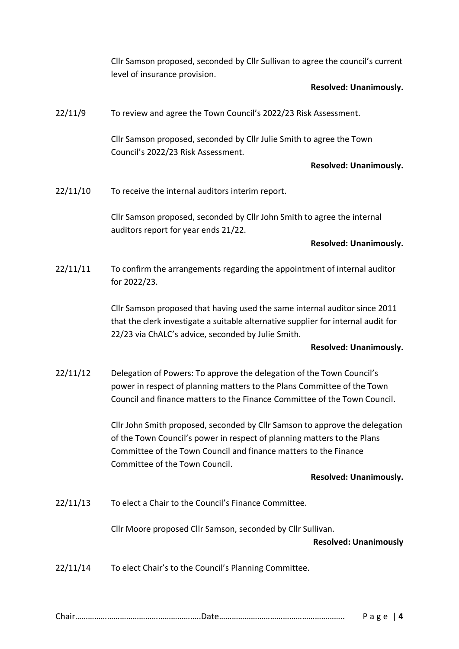Cllr Samson proposed, seconded by Cllr Sullivan to agree the council's current level of insurance provision.

# **Resolved: Unanimously.**

22/11/9 To review and agree the Town Council's 2022/23 Risk Assessment.

Cllr Samson proposed, seconded by Cllr Julie Smith to agree the Town Council's 2022/23 Risk Assessment.

# **Resolved: Unanimously.**

22/11/10 To receive the internal auditors interim report.

Cllr Samson proposed, seconded by Cllr John Smith to agree the internal auditors report for year ends 21/22.

## **Resolved: Unanimously.**

22/11/11 To confirm the arrangements regarding the appointment of internal auditor for 2022/23.

> Cllr Samson proposed that having used the same internal auditor since 2011 that the clerk investigate a suitable alternative supplier for internal audit for 22/23 via ChALC's advice, seconded by Julie Smith.

# **Resolved: Unanimously.**

22/11/12 Delegation of Powers: To approve the delegation of the Town Council's power in respect of planning matters to the Plans Committee of the Town Council and finance matters to the Finance Committee of the Town Council.

> Cllr John Smith proposed, seconded by Cllr Samson to approve the delegation of the Town Council's power in respect of planning matters to the Plans Committee of the Town Council and finance matters to the Finance Committee of the Town Council.

# **Resolved: Unanimously.**

22/11/13 To elect a Chair to the Council's Finance Committee.

Cllr Moore proposed Cllr Samson, seconded by Cllr Sullivan.

# **Resolved: Unanimously**

22/11/14 To elect Chair's to the Council's Planning Committee.

|--|--|